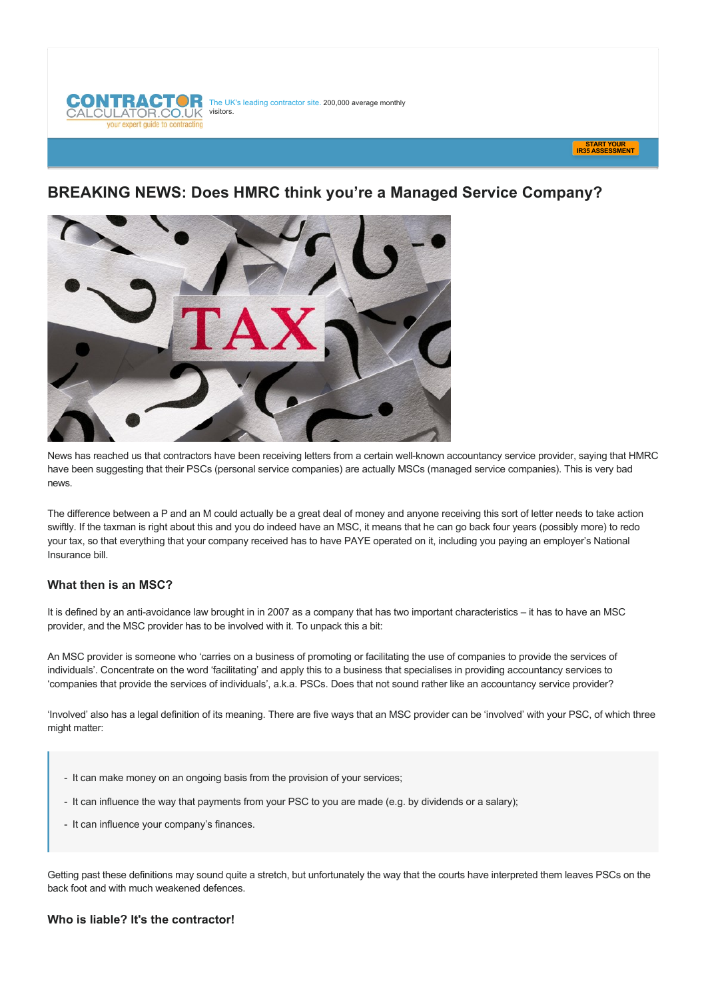



# **BREAKING NEWS: Does HMRC think you're a Managed Service Company?**



News has reached us that contractors have been receiving letters from a certain well-known accountancy service provider, saying that HMRC have been suggesting that their PSCs (personal service companies) are actually MSCs (managed service companies). This is very bad news.

The difference between a P and an M could actually be a great deal of money and anyone receiving this sort of letter needs to take action swiftly. If the taxman is right about this and you do indeed have an MSC, it means that he can go back four years (possibly more) to redo your tax, so that everything that your company received has to have PAYE operated on it, including you paying an employer's National Insurance bill.

## **What then is an MSC?**

It is defined by an anti-avoidance law brought in in 2007 as a company that has two important characteristics – it has to have an MSC provider, and the MSC provider has to be involved with it. To unpack this a bit:

An MSC provider is someone who 'carries on a business of promoting or facilitating the use of companies to provide the services of individuals'. Concentrate on the word 'facilitating' and apply this to a business that specialises in providing accountancy services to 'companies that provide the services of individuals', a.k.a. PSCs. Does that not sound rather like an accountancy service provider?

'Involved' also has a legal definition of its meaning. There are five ways that an MSC provider can be 'involved' with your PSC, of which three might matter:

- It can make money on an ongoing basis from the provision of your services;
- It can influence the way that payments from your PSC to you are made (e.g. by dividends or a salary);
- It can influence your company's finances.

Getting past these definitions may sound quite a stretch, but unfortunately the way that the courts have interpreted them leaves PSCs on the back foot and with much weakened defences.

#### **Who is liable? It's the contractor!**